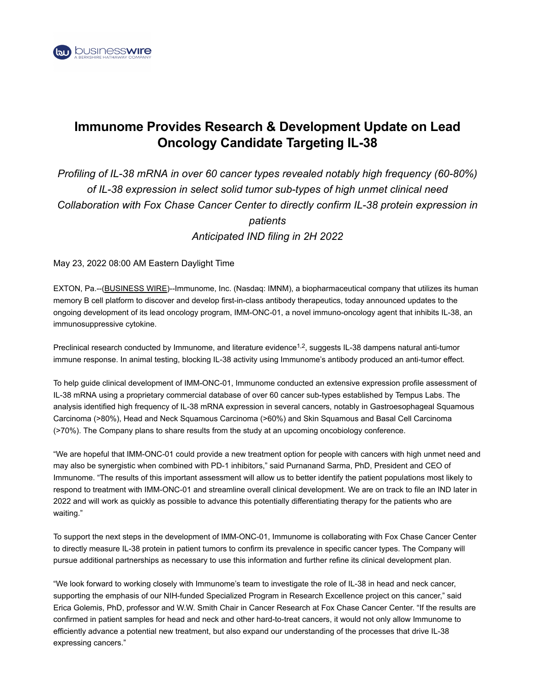

# **Immunome Provides Research & Development Update on Lead Oncology Candidate Targeting IL-38**

## *Profiling of IL-38 mRNA in over 60 cancer types revealed notably high frequency (60-80%) of IL-38 expression in select solid tumor sub-types of high unmet clinical need Collaboration with Fox Chase Cancer Center to directly confirm IL-38 protein expression in patients Anticipated IND filing in 2H 2022*

May 23, 2022 08:00 AM Eastern Daylight Time

EXTON, Pa.--[\(BUSINESS WIRE\)](https://www.businesswire.com/)--Immunome, Inc. (Nasdaq: IMNM), a biopharmaceutical company that utilizes its human memory B cell platform to discover and develop first-in-class antibody therapeutics, today announced updates to the ongoing development of its lead oncology program, IMM-ONC-01, a novel immuno-oncology agent that inhibits IL-38, an immunosuppressive cytokine.

Preclinical research conducted by Immunome, and literature evidence<sup>1,2</sup>, suggests IL-38 dampens natural anti-tumor immune response. In animal testing, blocking IL-38 activity using Immunome's antibody produced an anti-tumor effect.

To help guide clinical development of IMM-ONC-01, Immunome conducted an extensive expression profile assessment of IL-38 mRNA using a proprietary commercial database of over 60 cancer sub-types established by Tempus Labs. The analysis identified high frequency of IL-38 mRNA expression in several cancers, notably in Gastroesophageal Squamous Carcinoma (>80%), Head and Neck Squamous Carcinoma (>60%) and Skin Squamous and Basal Cell Carcinoma (>70%). The Company plans to share results from the study at an upcoming oncobiology conference.

"We are hopeful that IMM-ONC-01 could provide a new treatment option for people with cancers with high unmet need and may also be synergistic when combined with PD-1 inhibitors," said Purnanand Sarma, PhD, President and CEO of Immunome. "The results of this important assessment will allow us to better identify the patient populations most likely to respond to treatment with IMM-ONC-01 and streamline overall clinical development. We are on track to file an IND later in 2022 and will work as quickly as possible to advance this potentially differentiating therapy for the patients who are waiting."

To support the next steps in the development of IMM-ONC-01, Immunome is collaborating with Fox Chase Cancer Center to directly measure IL-38 protein in patient tumors to confirm its prevalence in specific cancer types. The Company will pursue additional partnerships as necessary to use this information and further refine its clinical development plan.

"We look forward to working closely with Immunome's team to investigate the role of IL-38 in head and neck cancer, supporting the emphasis of our NIH-funded Specialized Program in Research Excellence project on this cancer," said Erica Golemis, PhD, professor and W.W. Smith Chair in Cancer Research at Fox Chase Cancer Center. "If the results are confirmed in patient samples for head and neck and other hard-to-treat cancers, it would not only allow Immunome to efficiently advance a potential new treatment, but also expand our understanding of the processes that drive IL-38 expressing cancers."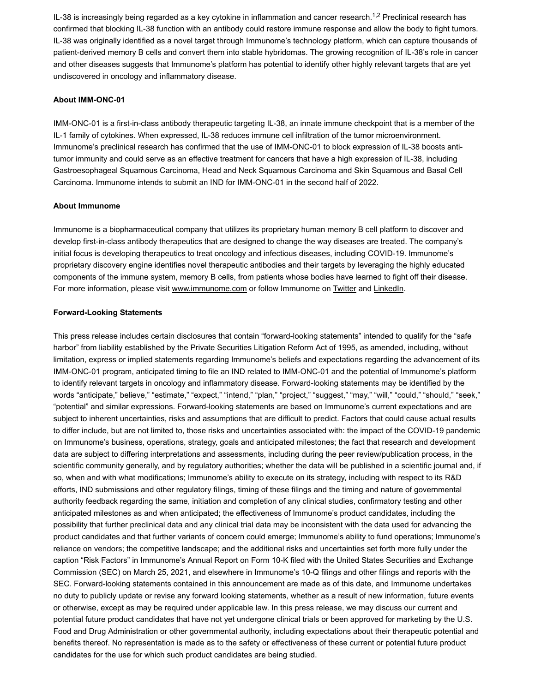IL-38 is increasingly being regarded as a key cytokine in inflammation and cancer research. $^{1,2}$  Preclinical research has confirmed that blocking IL-38 function with an antibody could restore immune response and allow the body to fight tumors. IL-38 was originally identified as a novel target through Immunome's technology platform, which can capture thousands of patient-derived memory B cells and convert them into stable hybridomas. The growing recognition of IL-38's role in cancer and other diseases suggests that Immunome's platform has potential to identify other highly relevant targets that are yet undiscovered in oncology and inflammatory disease.

#### **About IMM-ONC-01**

IMM-ONC-01 is a first-in-class antibody therapeutic targeting IL-38, an innate immune checkpoint that is a member of the IL-1 family of cytokines. When expressed, IL-38 reduces immune cell infiltration of the tumor microenvironment. Immunome's preclinical research has confirmed that the use of IMM-ONC-01 to block expression of IL-38 boosts antitumor immunity and could serve as an effective treatment for cancers that have a high expression of IL-38, including Gastroesophageal Squamous Carcinoma, Head and Neck Squamous Carcinoma and Skin Squamous and Basal Cell Carcinoma. Immunome intends to submit an IND for IMM-ONC-01 in the second half of 2022.

#### **About Immunome**

Immunome is a biopharmaceutical company that utilizes its proprietary human memory B cell platform to discover and develop first-in-class antibody therapeutics that are designed to change the way diseases are treated. The company's initial focus is developing therapeutics to treat oncology and infectious diseases, including COVID-19. Immunome's proprietary discovery engine identifies novel therapeutic antibodies and their targets by leveraging the highly educated components of the immune system, memory B cells, from patients whose bodies have learned to fight off their disease. For more information, please visit [www.immunome.com](https://cts.businesswire.com/ct/CT?id=smartlink&url=http%3A%2F%2Fwww.immunome.com&esheet=52726640&newsitemid=20220523005271&lan=en-US&anchor=www.immunome.com&index=1&md5=bc14e202c400eee1da274a28c6df177b) or follow Immunome on [Twitter](https://cts.businesswire.com/ct/CT?id=smartlink&url=https%3A%2F%2Ftwitter.com%2FImmunome&esheet=52726640&newsitemid=20220523005271&lan=en-US&anchor=Twitter&index=2&md5=91fdd9dcddbda085ce8ffb191181b9a3) and [LinkedIn](https://cts.businesswire.com/ct/CT?id=smartlink&url=https%3A%2F%2Fwww.linkedin.com%2Fcompany%2Fimmunome-inc-%2F%3FviewAsMember%3Dtrue&esheet=52726640&newsitemid=20220523005271&lan=en-US&anchor=LinkedIn&index=3&md5=130c6afc6f0018c12bbd86e96f46dbb6).

#### **Forward-Looking Statements**

This press release includes certain disclosures that contain "forward-looking statements" intended to qualify for the "safe harbor" from liability established by the Private Securities Litigation Reform Act of 1995, as amended, including, without limitation, express or implied statements regarding Immunome's beliefs and expectations regarding the advancement of its IMM-ONC-01 program, anticipated timing to file an IND related to IMM-ONC-01 and the potential of Immunome's platform to identify relevant targets in oncology and inflammatory disease. Forward-looking statements may be identified by the words "anticipate," believe," "estimate," "expect," "intend," "plan," "project," "suggest," "may," "will," "could," "should," "seek," "potential" and similar expressions. Forward-looking statements are based on Immunome's current expectations and are subject to inherent uncertainties, risks and assumptions that are difficult to predict. Factors that could cause actual results to differ include, but are not limited to, those risks and uncertainties associated with: the impact of the COVID-19 pandemic on Immunome's business, operations, strategy, goals and anticipated milestones; the fact that research and development data are subject to differing interpretations and assessments, including during the peer review/publication process, in the scientific community generally, and by regulatory authorities; whether the data will be published in a scientific journal and, if so, when and with what modifications; Immunome's ability to execute on its strategy, including with respect to its R&D efforts, IND submissions and other regulatory filings, timing of these filings and the timing and nature of governmental authority feedback regarding the same, initiation and completion of any clinical studies, confirmatory testing and other anticipated milestones as and when anticipated; the effectiveness of Immunome's product candidates, including the possibility that further preclinical data and any clinical trial data may be inconsistent with the data used for advancing the product candidates and that further variants of concern could emerge; Immunome's ability to fund operations; Immunome's reliance on vendors; the competitive landscape; and the additional risks and uncertainties set forth more fully under the caption "Risk Factors" in Immunome's Annual Report on Form 10-K filed with the United States Securities and Exchange Commission (SEC) on March 25, 2021, and elsewhere in Immunome's 10-Q filings and other filings and reports with the SEC. Forward-looking statements contained in this announcement are made as of this date, and Immunome undertakes no duty to publicly update or revise any forward looking statements, whether as a result of new information, future events or otherwise, except as may be required under applicable law. In this press release, we may discuss our current and potential future product candidates that have not yet undergone clinical trials or been approved for marketing by the U.S. Food and Drug Administration or other governmental authority, including expectations about their therapeutic potential and benefits thereof. No representation is made as to the safety or effectiveness of these current or potential future product candidates for the use for which such product candidates are being studied.